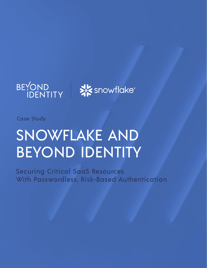

**SEX** snowflake®

Case Study

# SNOWFLAKE AND BEYOND IDENTITY

Securing Critical SaaS Resources With Passwordless, Risk-Based Authentication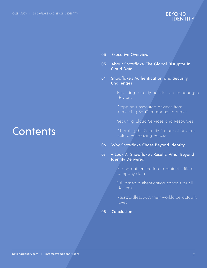

- [03 Executive Overview](#page-2-0)
- [03 About Snowflake, The Global Disruptor in](#page-2-1)   [Cloud Data](#page-2-1)
- 04 Snowflake's Authentication and Security Challenges

 [Enforcing security policies on unmanaged](#page-3-0)   [devices](#page-3-0)

 [Stopping unsecured devices from](#page-3-1)   [accessing SaaS company resources](#page-3-1)

[Securing Cloud Services and Resources](#page-4-0)

 [Checking the Security Posture of Devices](#page-4-1)  [Before Authorizing Access](#page-4-1)

[06 Why Snowflake Chose Beyond Identity](#page-5-0)

### 07 A Look At Snowflake's Results, What Beyond Identity Delivered

 [Strong authentication to protect critical](#page-6-0)   [company data](#page-6-0) 

 [Risk-based authentication controls for all](#page-6-0)   [devices](#page-6-0)

 [Passwordless MFA their workforce actually](#page-6-0)   [loves](#page-6-0)

[08 Conclusion](#page-7-0)

## **Contents**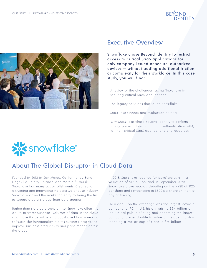



### <span id="page-2-0"></span>Executive Overview

Snowflake chose Beyond Identity to restrict access to critical SaaS applications for only company-issued or secure, authorized devices — without adding additional friction or complexity for their workforce. In this case study, you will find:

- A review of the challenges facing Snowflake in securing critical SaaS applications
- The legacy solutions that failed Snowflake
- Snowflake's needs and evaluation criteria
- Why Snowflake chose Beyond Identity to perform strong, passwordless multifactor authentication (MFA) for their critical SaaS applications and resources



### <span id="page-2-1"></span>About The Global Disruptor in Cloud Data

Founded in 2012 in San Mateo, California, by Benoit Dageville, Thierry Cruanes, and Marcin Żukowski, Snowflake has many accomplishments. Credited with disrupting and innovating the data warehouse industry, Snowflake wowed the market on entry by being the first to separate data storage from data queries.

Rather than store data on-premise, Snowflake offers the ability to warehouse vast volumes of data in the cloud and make it queryable for cloud-based hardware and software. This functionality informs business insights that improve business productivity and performance across the globe.

In 2018, Snowflake reached "unicorn" status with a valuation of \$1.5 billion, and in September 2020, Snowflake broke records, debuting on the NYSE at \$120 per share and skyrocketing to \$300 per share on the first day of trading.

Their debut on the exchange was the largest software company to IPO in U.S. history, raising \$3.4 billion at their initial public offering and becoming the largest company to ever double in value on its opening day, reaching a market cap of close to \$75 billion.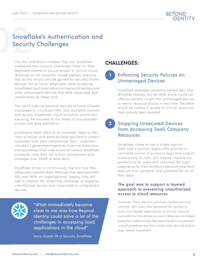

### Snowflake's Authentication and Security Challenges

Like the innovative company they are, Snowflake addressed their security challenges head on. They deployed systems to secure access to critical cloud resources on all company-issued laptops, ensuring that access would only be gained by secured, known devices. But at home, employees were accessing Snowflake's SaaS applications on personal laptops and other unmanaged devices that were unsecured and unmonitored by these tools.

The use of insecure personal devices at home allowed employees to circumvent MFA, SSO, and MDM controls and access Snowflake's cloud resources, potentially exposing the business to the threat of unauthorized access and data exfiltration.

Snowflake's team refers to its customers' data as the "Holy of Holies" and works exceedingly hard to protect customers from data compromise. Their customers include U.S. government agencies, financial institutions, and businesses of all sizes across all sectors. Snowflake processes more than 515 million transactions and manages over 250PB of data daily.

Snowflake strives to continuously improve how they safeguard customer data. Although they deployed MFA, SSO, and MDM on organizational laptops, they still had to address the remaining challenge of stopping unauthorized access from unsecured or unregistered devices.



"What immediately became clear to me was how Beyond Identity could solve a lot of the challenges in accessing SaaS applications in the cloud"

Mario Duarte, VP of Security, Snowflake

### **CHALLENGES:**

**1**

### <span id="page-3-0"></span>Enforcing Security Policies on Unmanaged Devices

Snowflake manages company-owned Mac and Windows laptops, but an MDM alone could not offer actionable insight into unmanaged devices or restrict resource access in real-time. The alerts would be useless if access to critical resources had already been granted.

#### <span id="page-3-1"></span>Stopping Unsecured Devices from Accessing SaaS Company **Resources 2**

Snowflake chose to use a single sign-on (SSO) and a built-in, legacy MFA solution to centralize control of access to apps and simplify provisioning of users. SSO helped improve the productivity for users and improved the login experience for their workforce because now there was just one username and password for all of their apps.

#### The goal was to support a layered approach to preventing unauthorized access to cloud resources.

However, these identity solutions lacked security controls. SSO uses one password for access to every connected application, a critical security vulnerability that allows account takeovers and data breaches. Additionally, they lack the ability to prevent unauthorized access from unsecured devices and to stop lateral movement.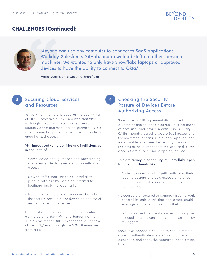

### **CHALLENGES (Continued):**



"Anyone can use any computer to connect to SaaS applications - Workday, Salesforce, GitHub, and download stuff onto their personal machines. We wanted to only have Snowflake laptops or approved devices to have the ability to connect to Okta."

**4**

Mario Duarte, VP of Security, Snowflake

### <span id="page-4-0"></span>Securing Cloud Services **3** Checking the Security and Resources

As work from home exploded at the beginning of 2020, Snowflake quickly realized that VPNs — though great for a few hundred persons remotely accessing resources on-premise — were woefully inept at protecting SaaS resources from unauthorized access.

#### VPN introduced vulnerabilities and inefficiencies in the form of:

- Complicated configurations and provisioning, and even easier to leverage for unauthorized access
- Slowed traffic that impacted Snowflake's productivity, as VPNs were not created to facilitate SaaS-intended traffic
- No way to validate or deny access based on the security posture of the device at the time of request for resource access

For Snowflake, this meant forcing their entire workforce onto their VPN and burdening them with a slow, friction-filled experience for the sake of "security," even though the VPNs themselves were a risk.

### <span id="page-4-1"></span>Posture of Devices Before Authorizing Access

Snowflake's CASB implementation lacked automated and actionable contextual assessment of both user and device identity and security. CASBs, though created to secure SaaS access and the movement of data within those applications, were unable to ensure the security posture of the device nor authenticate the user and allow access from public and temporary devices.

#### This deficiency in capability left Snowflake open to potential threats like:

- Rooted devices which significantly alter their security posture and can expose enterprise applications to attacks and malicious applications
- Access via unsecured or compromised network access like public wifi that bad actors could leverage for credential or data theft
- Temporary and personal devices that may be infected or compromised with malware or by keyloggers

Snowflake needed a solution to secure remote access, authenticate users with a high level of assurance, and check the security of each device before authentication.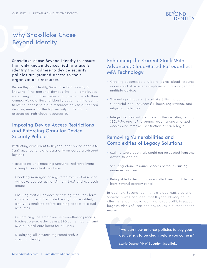

# <span id="page-5-0"></span>Why Sr<br>Beyond Why Snowflake Chose Beyond Identity

Snowflake chose Beyond Identity to ensure that only known devices tied to a user's identity that adhere to device security policies are granted access to their organization's resources.

Before Beyond Identity, Snowflake had no way of knowing if the personal devices that their employees were using should be trusted and given access to their company's data. Beyond Identity gave them the ability to restrict access to cloud resources only to authorized devices, removing the top security vulnerability associated with cloud resources by:

### Imposing Device Access Restrictions and Enforcing Granular Device Security Policies

Restricting enrollment to Beyond Identity and access to SaaS applications and data only on corporate-issued laptops

- Restricting and rejecting unauthorized enrollment attempts on virtual machines
- Checking managed or registered status of Mac and Windows devices using API from JAMF and Microsoft Intune
- Ensuring that all devices accessing resources have a biometric or pin enabled, encryption enabled, anti-virus enabled before gaining access to cloud resources
- Customizing the employee self-enrollment process, forcing corporate device use, SSO authentication, and MFA at initial enrollment for all users
- Displaying all devices registered with a specific identity

### Enhancing The Current Stack With Advanced, Cloud-Based Passwordless MFA Technology

- Creating customizable rules to restrict cloud resource access and allow user exceptions for unmanaged and multiple devices
- Streaming all logs to Snowflake SIEM, including successful and unsuccessful login, registration, and migration attempts
- Integrating Beyond Identity with their existing legacy SSO, MFA, and IdP to protect against unauthorized access and remove user friction at each login

### Removing Vulnerabilities and Complexities of Legacy Solutions

- Making sure credentials could not be copied from one device to another
- Securing cloud resource access without causing unnecessary user friction
- Being able to de-provision enrolled users and devices from Beyond Identity Portal

In addition, Beyond Identity is a cloud-native solution. Snowflake was confident that Beyond Identity could offer the reliability, availability, and scalability to support large numbers of users and any spikes in authentication requests.

> "We can now enforce policies to say your device has to be clean before you come in"

Mario Duarte, VP of Security, Snowflake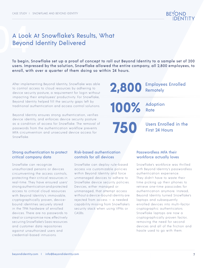

### 04A Look At Snowflake's Results, What Beyond Identity Delivered

To begin, Snowflake set up a proof of concept to roll out Beyond Identity to a sample set of 200 users. Impressed by the solution, Snowflake allowed the entire company, all 2,800 employees, to enroll, with over a quarter of them doing so within 24 hours.

After implementing Beyond Identity, Snowflake was able to control access to cloud resources by adhering to device security posture, a requirement for login without impacting their employees' productivity. For Snowflake, Beyond Identity helped fill the security gaps left by traditional authentication and access control solutions.

Beyond Identity ensures strong authentication, verifies device identity, and enforces device security posture as a condition of access for Snowflake. The removal of passwords from the authentication workflow prevents MFA circumvention and unsecured device access for Snowflake.



<span id="page-6-0"></span>Strong authentication to protect critical company data

Snowflake can recognize unauthorized persons or devices circumventing the access controls, protecting their critical resources in real-time. They have ensured users' strong authentication and protected access to critical cloud resources with Beyond Identity's immovable, cryptographically proven, devicebound identities securely stored in the TPM hardware of enrolled devices. There are no passwords to steal or compromise now, effectively securing Snowflake's Saas resources and customer data repositories against unauthorized users and credential-based intrusions.

### Risk-based authentication controls for all devices

Snowflake can deploy rule-based access via customizable policies within Beyond Identity and force unmanaged devices to adhere to Snowflake device security policies. Devices, either managed or unmanaged, that attempt access without a device-bound identity are rejected from access — a needed capability missing from Snowflake's security stack when using VPNs or CASBs.

### Passwordless MFA their workforce actually loves

Snowflake's workforce was thrilled with Beyond Identity's passwordless authentication experience. They didn't have to waste their time picking up their phones to retrieve one-time passcodes for authentication anymore. Instead, Beyond Identity turned Snowflake's laptops and subsequently enrolled devices into multi-factor cryptographic authenticators. Snowflake laptops are now a cryptographically proven factor, removing the need for second devices and all of the friction and hassle used to go with them.